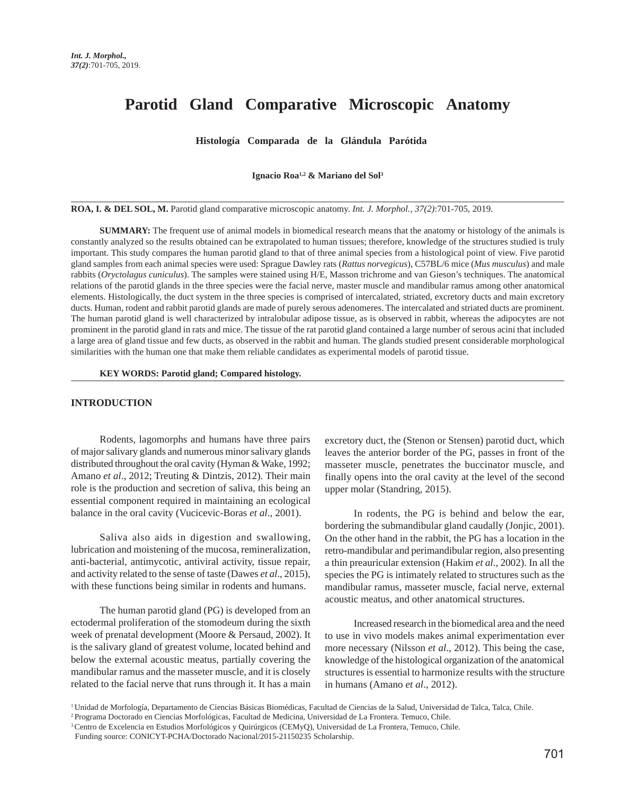# **Parotid Gland Comparative Microscopic Anatomy**

**Histología Comparada de la Glándula Parótida** 

**Ignacio Roa1,2 & Mariano del Sol3**

**ROA, I. & DEL SOL, M.** Parotid gland comparative microscopic anatomy. *Int. J. Morphol., 37(2)*:701-705, 2019.

**SUMMARY:** The frequent use of animal models in biomedical research means that the anatomy or histology of the animals is constantly analyzed so the results obtained can be extrapolated to human tissues; therefore, knowledge of the structures studied is truly important. This study compares the human parotid gland to that of three animal species from a histological point of view. Five parotid gland samples from each animal species were used: Sprague Dawley rats (*Rattus norvegicus*), C57BL/6 mice (*Mus musculus*) and male rabbits (*Oryctolagus cuniculus*). The samples were stained using H/E, Masson trichrome and van Gieson's techniques. The anatomical relations of the parotid glands in the three species were the facial nerve, master muscle and mandibular ramus among other anatomical elements. Histologically, the duct system in the three species is comprised of intercalated, striated, excretory ducts and main excretory ducts. Human, rodent and rabbit parotid glands are made of purely serous adenomeres. The intercalated and striated ducts are prominent. The human parotid gland is well characterized by intralobular adipose tissue, as is observed in rabbit, whereas the adipocytes are not prominent in the parotid gland in rats and mice. The tissue of the rat parotid gland contained a large number of serous acini that included a large area of gland tissue and few ducts, as observed in the rabbit and human. The glands studied present considerable morphological similarities with the human one that make them reliable candidates as experimental models of parotid tissue.

**KEY WORDS: Parotid gland; Compared histology.**

# **INTRODUCTION**

Rodents, lagomorphs and humans have three pairs of major salivary glands and numerous minor salivary glands distributed throughout the oral cavity (Hyman & Wake, 1992; Amano *et al*., 2012; Treuting & Dintzis, 2012). Their main role is the production and secretion of saliva, this being an essential component required in maintaining an ecological balance in the oral cavity (Vucicevic-Boras *et al*., 2001).

Saliva also aids in digestion and swallowing, lubrication and moistening of the mucosa, remineralization, anti-bacterial, antimycotic, antiviral activity, tissue repair, and activity related to the sense of taste (Dawes *et al*., 2015), with these functions being similar in rodents and humans.

The human parotid gland (PG) is developed from an ectodermal proliferation of the stomodeum during the sixth week of prenatal development (Moore & Persaud, 2002). It is the salivary gland of greatest volume, located behind and below the external acoustic meatus, partially covering the mandibular ramus and the masseter muscle, and it is closely related to the facial nerve that runs through it. It has a main excretory duct, the (Stenon or Stensen) parotid duct, which leaves the anterior border of the PG, passes in front of the masseter muscle, penetrates the buccinator muscle, and finally opens into the oral cavity at the level of the second upper molar (Standring, 2015).

In rodents, the PG is behind and below the ear, bordering the submandibular gland caudally (Jonjic, 2001). On the other hand in the rabbit, the PG has a location in the retro-mandibular and perimandibular region, also presenting a thin preauricular extension (Hakim *et al*., 2002). In all the species the PG is intimately related to structures such as the mandibular ramus, masseter muscle, facial nerve, external acoustic meatus, and other anatomical structures.

Increased research in the biomedical area and the need to use in vivo models makes animal experimentation ever more necessary (Nilsson *et al*., 2012). This being the case, knowledge of the histological organization of the anatomical structures is essential to harmonize results with the structure in humans (Amano *et al*., 2012).

<sup>&</sup>lt;sup>1</sup> Unidad de Morfología, Departamento de Ciencias Básicas Biomédicas, Facultad de Ciencias de la Salud, Universidad de Talca, Talca, Chile.

<sup>2</sup> Programa Doctorado en Ciencias Morfológicas, Facultad de Medicina, Universidad de La Frontera. Temuco, Chile.

<sup>3</sup> Centro de Excelencia en Estudios Morfológicos y Quirúrgicos (CEMyQ), Universidad de La Frontera, Temuco, Chile.

Funding source: CONICYT-PCHA/Doctorado Nacional/2015-21150235 Scholarship.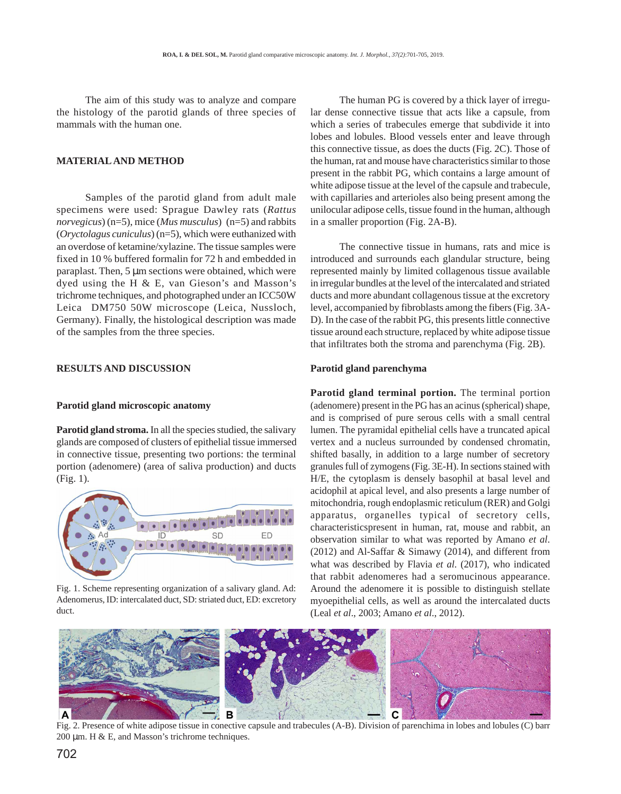The aim of this study was to analyze and compare the histology of the parotid glands of three species of mammals with the human one.

## **MATERIAL AND METHOD**

Samples of the parotid gland from adult male specimens were used: Sprague Dawley rats (*Rattus norvegicus*) (n=5), mice (*Mus musculus*) (n=5) and rabbits (*Oryctolagus cuniculus*) (n=5), which were euthanized with an overdose of ketamine/xylazine. The tissue samples were fixed in 10 % buffered formalin for 72 h and embedded in paraplast. Then, 5 µm sections were obtained, which were dyed using the H & E, van Gieson's and Masson's trichrome techniques, and photographed under an ICC50W Leica® DM750 50W microscope (Leica, Nussloch, Germany). Finally, the histological description was made of the samples from the three species.

#### **RESULTS AND DISCUSSION**

#### **Parotid gland microscopic anatomy**

**Parotid gland stroma.** In all the species studied, the salivary glands are composed of clusters of epithelial tissue immersed in connective tissue, presenting two portions: the terminal portion (adenomere) (area of saliva production) and ducts (Fig. 1).



Fig. 1. Scheme representing organization of a salivary gland. Ad: Adenomerus, ID: intercalated duct, SD: striated duct, ED: excretory duct.

The human PG is covered by a thick layer of irregular dense connective tissue that acts like a capsule, from which a series of trabecules emerge that subdivide it into lobes and lobules. Blood vessels enter and leave through this connective tissue, as does the ducts (Fig. 2C). Those of the human, rat and mouse have characteristics similar to those present in the rabbit PG, which contains a large amount of white adipose tissue at the level of the capsule and trabecule, with capillaries and arterioles also being present among the unilocular adipose cells, tissue found in the human, although in a smaller proportion (Fig. 2A-B).

The connective tissue in humans, rats and mice is introduced and surrounds each glandular structure, being represented mainly by limited collagenous tissue available in irregular bundles at the level of the intercalated and striated ducts and more abundant collagenous tissue at the excretory level, accompanied by fibroblasts among the fibers (Fig. 3A-D). In the case of the rabbit PG, this presents little connective tissue around each structure, replaced by white adipose tissue that infiltrates both the stroma and parenchyma (Fig. 2B).

## **Parotid gland parenchyma**

**Parotid gland terminal portion.** The terminal portion (adenomere) present in the PG has an acinus (spherical) shape, and is comprised of pure serous cells with a small central lumen. The pyramidal epithelial cells have a truncated apical vertex and a nucleus surrounded by condensed chromatin, shifted basally, in addition to a large number of secretory granules full of zymogens (Fig. 3E-H). In sections stained with H/E, the cytoplasm is densely basophil at basal level and acidophil at apical level, and also presents a large number of mitochondria, rough endoplasmic reticulum (RER) and Golgi apparatus, organelles typical of secretory cells, characteristicspresent in human, rat, mouse and rabbit, an observation similar to what was reported by Amano *et al*. (2012) and Al-Saffar & Simawy (2014), and different from what was described by Flavia *et al*. (2017), who indicated that rabbit adenomeres had a seromucinous appearance. Around the adenomere it is possible to distinguish stellate myoepithelial cells, as well as around the intercalated ducts (Leal *et al*., 2003; Amano *et al*., 2012).



Fig. 2. Presence of white adipose tissue in conective capsule and trabecules (A-B). Division of parenchima in lobes and lobules (C) barr 200 µm. H & E, and Masson's trichrome techniques.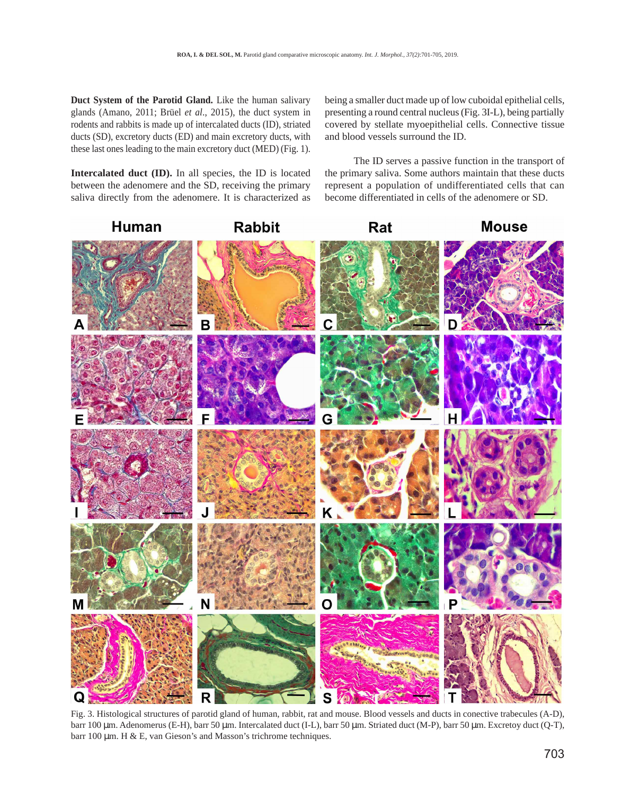**Duct System of the Parotid Gland.** Like the human salivary glands (Amano, 2011; Brüel *et al*., 2015), the duct system in rodents and rabbits is made up of intercalated ducts (ID), striated ducts (SD), excretory ducts (ED) and main excretory ducts, with these last ones leading to the main excretory duct (MED) (Fig. 1).

**Intercalated duct (ID).** In all species, the ID is located between the adenomere and the SD, receiving the primary saliva directly from the adenomere. It is characterized as being a smaller duct made up of low cuboidal epithelial cells, presenting a round central nucleus (Fig. 3I-L), being partially covered by stellate myoepithelial cells. Connective tissue and blood vessels surround the ID.

The ID serves a passive function in the transport of the primary saliva. Some authors maintain that these ducts represent a population of undifferentiated cells that can become differentiated in cells of the adenomere or SD.



Fig. 3. Histological structures of parotid gland of human, rabbit, rat and mouse. Blood vessels and ducts in conective trabecules (A-D), barr 100 µm. Adenomerus (E-H), barr 50 µm. Intercalated duct (I-L), barr 50 µm. Striated duct (M-P), barr 50 µm. Excretoy duct (Q-T), barr 100 µm. H & E, van Gieson's and Masson's trichrome techniques.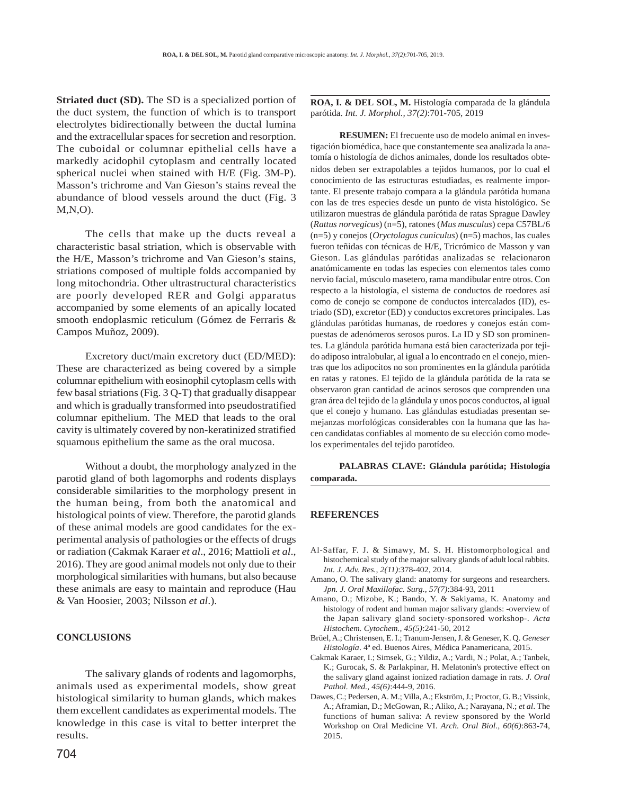**Striated duct (SD).** The SD is a specialized portion of the duct system, the function of which is to transport electrolytes bidirectionally between the ductal lumina and the extracellular spaces for secretion and resorption. The cuboidal or columnar epithelial cells have a markedly acidophil cytoplasm and centrally located spherical nuclei when stained with H/E (Fig. 3M-P). Masson's trichrome and Van Gieson's stains reveal the abundance of blood vessels around the duct (Fig. 3 M,N,O).

The cells that make up the ducts reveal a characteristic basal striation, which is observable with the H/E, Masson's trichrome and Van Gieson's stains, striations composed of multiple folds accompanied by long mitochondria. Other ultrastructural characteristics are poorly developed RER and Golgi apparatus accompanied by some elements of an apically located smooth endoplasmic reticulum (Gómez de Ferraris & Campos Muñoz, 2009).

Excretory duct/main excretory duct (ED/MED): These are characterized as being covered by a simple columnar epithelium with eosinophil cytoplasm cells with few basal striations (Fig. 3 Q-T) that gradually disappear and which is gradually transformed into pseudostratified columnar epithelium. The MED that leads to the oral cavity is ultimately covered by non-keratinized stratified squamous epithelium the same as the oral mucosa.

Without a doubt, the morphology analyzed in the parotid gland of both lagomorphs and rodents displays considerable similarities to the morphology present in the human being, from both the anatomical and histological points of view. Therefore, the parotid glands of these animal models are good candidates for the experimental analysis of pathologies or the effects of drugs or radiation (Cakmak Karaer *et al*., 2016; Mattioli *et al*., 2016). They are good animal models not only due to their morphological similarities with humans, but also because these animals are easy to maintain and reproduce (Hau & Van Hoosier, 2003; Nilsson *et al*.).

## **CONCLUSIONS**

The salivary glands of rodents and lagomorphs, animals used as experimental models, show great histological similarity to human glands, which makes them excellent candidates as experimental models. The knowledge in this case is vital to better interpret the results.

**ROA, I. & DEL SOL, M.** Histología comparada de la glándula parótida. *Int. J. Morphol., 37(2)*:701-705, 2019

**RESUMEN:** El frecuente uso de modelo animal en investigación biomédica, hace que constantemente sea analizada la anatomía o histología de dichos animales, donde los resultados obtenidos deben ser extrapolables a tejidos humanos, por lo cual el conocimiento de las estructuras estudiadas, es realmente importante. El presente trabajo compara a la glándula parótida humana con las de tres especies desde un punto de vista histológico. Se utilizaron muestras de glándula parótida de ratas Sprague Dawley (*Rattus norvegicus*) (n=5), ratones (*Mus musculus*) cepa C57BL/6 (n=5) y conejos (*Oryctolagus cuniculus*) (n=5) machos, las cuales fueron teñidas con técnicas de H/E, Tricrómico de Masson y van Gieson. Las glándulas parótidas analizadas se relacionaron anatómicamente en todas las especies con elementos tales como nervio facial, músculo masetero, rama mandibular entre otros. Con respecto a la histología, el sistema de conductos de roedores así como de conejo se compone de conductos intercalados (ID), estriado (SD), excretor (ED) y conductos excretores principales. Las glándulas parótidas humanas, de roedores y conejos están compuestas de adenómeros serosos puros. La ID y SD son prominentes. La glándula parótida humana está bien caracterizada por tejido adiposo intralobular, al igual a lo encontrado en el conejo, mientras que los adipocitos no son prominentes en la glándula parótida en ratas y ratones. El tejido de la glándula parótida de la rata se observaron gran cantidad de acinos serosos que comprenden una gran área del tejido de la glándula y unos pocos conductos, al igual que el conejo y humano. Las glándulas estudiadas presentan semejanzas morfológicas considerables con la humana que las hacen candidatas confiables al momento de su elección como modelos experimentales del tejido parotídeo.

**PALABRAS CLAVE: Glándula parótida; Histología comparada.**

#### **REFERENCES**

- Al-Saffar, F. J. & Simawy, M. S. H. Histomorphological and histochemical study of the major salivary glands of adult local rabbits. *Int. J. Adv. Res., 2(11)*:378-402, 2014.
- Amano, O. The salivary gland: anatomy for surgeons and researchers. *Jpn. J. Oral Maxillofac. Surg., 57(7)*:384-93, 2011
- Amano, O.; Mizobe, K.; Bando, Y. & Sakiyama, K. Anatomy and histology of rodent and human major salivary glands: -overview of the Japan salivary gland society-sponsored workshop-. *Acta Histochem. Cytochem., 45(5)*:241-50, 2012
- Brüel, A.; Christensen, E. I.; Tranum-Jensen, J. & Geneser, K. Q. *Geneser Histología*. 4ª ed. Buenos Aires, Médica Panamericana, 2015.
- Cakmak Karaer, I.; Simsek, G.; Yildiz, A.; Vardi, N.; Polat, A.; Tanbek, K.; Gurocak, S. & Parlakpinar, H. Melatonin's protective effect on the salivary gland against ionized radiation damage in rats. *J. Oral Pathol. Med., 45(6)*:444-9, 2016.
- Dawes, C.; Pedersen, A. M.; Villa, A.; Ekström, J.; Proctor, G. B.; Vissink, A.; Aframian, D.; McGowan, R.; Aliko, A.; Narayana, N.; *et al*. The functions of human saliva: A review sponsored by the World Workshop on Oral Medicine VI. *Arch. Oral Biol., 60(6)*:863-74, 2015.